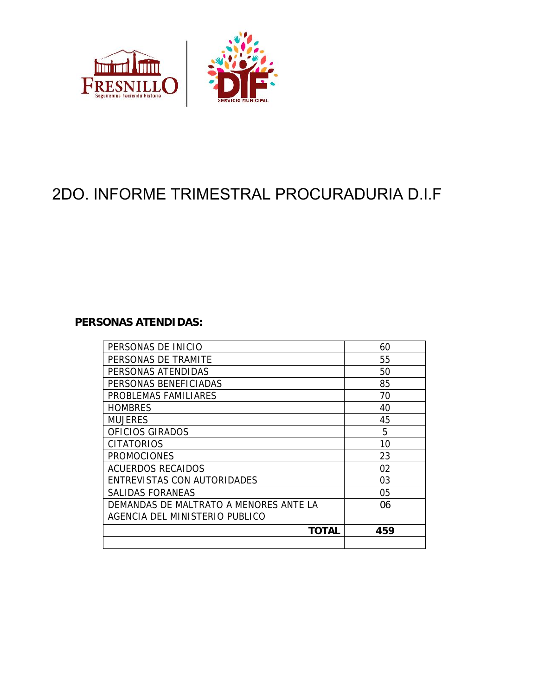

# 2DO. INFORME TRIMESTRAL PROCURADURIA D.I.F

#### **PERSONAS ATENDIDAS:**

| PERSONAS DE INICIO                      | 60  |
|-----------------------------------------|-----|
| PERSONAS DE TRAMITE                     | 55  |
| PERSONAS ATENDIDAS                      | 50  |
| PERSONAS BENEFICIADAS                   | 85  |
| PROBLEMAS FAMILIARES                    | 70  |
| <b>HOMBRES</b>                          | 40  |
| <b>MUJERES</b>                          | 45  |
| OFICIOS GIRADOS                         | 5   |
| <b>CITATORIOS</b>                       | 10  |
| <b>PROMOCIONES</b>                      | 23  |
| <b>ACUERDOS RECAIDOS</b>                | 02  |
| ENTREVISTAS CON AUTORIDADES             | 03  |
| SALIDAS FORANEAS                        | 05  |
| DEMANDAS DE MAI TRATO A MENORES ANTE LA | 06  |
| AGENCIA DEL MINISTERIO PUBLICO          |     |
| TOTAL                                   | 459 |
|                                         |     |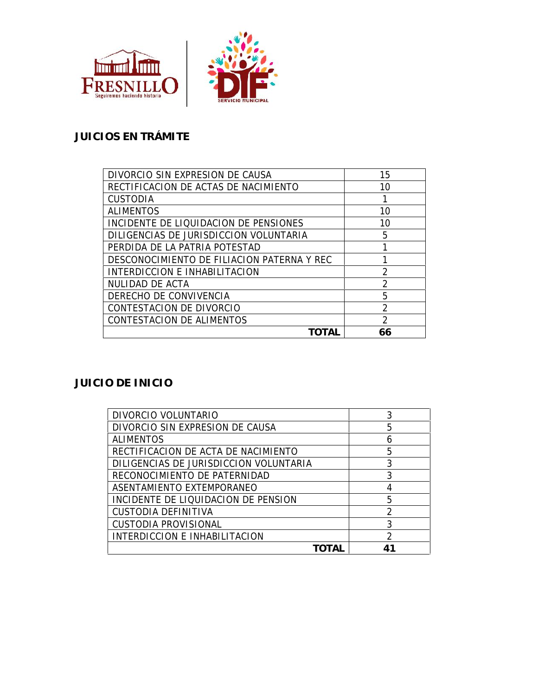



# **JUICIOS EN TRÁMITE**

| DIVORCIO SIN EXPRESION DE CAUSA            | 15            |
|--------------------------------------------|---------------|
| RECTIFICACION DE ACTAS DE NACIMIENTO       | 10            |
| <b>CUSTODIA</b>                            |               |
| <b>ALIMENTOS</b>                           | 10            |
| INCIDENTE DE LIQUIDACION DE PENSIONES      | 10            |
| DILIGENCIAS DE JURISDICCION VOLUNTARIA     | 5             |
| PERDIDA DE LA PATRIA POTESTAD              |               |
| DESCONOCIMIENTO DE FILIACION PATERNA Y REC |               |
| INTERDICCION E INHABILITACION              | 2             |
| NULIDAD DE ACTA                            | റ             |
| DERECHO DE CONVIVENCIA                     | 5             |
| CONTESTACION DE DIVORCIO                   | 2             |
| CONTESTACION DE ALIMENTOS                  | $\mathcal{P}$ |
|                                            | 66            |

### **JUICIO DE INICIO**

| DIVORCIO VOLUNTARIO                    | 3 |
|----------------------------------------|---|
| DIVORCIO SIN EXPRESION DE CAUSA        | 5 |
| <b>ALIMENTOS</b>                       |   |
| RECTIFICACION DE ACTA DE NACIMIENTO    | 5 |
| DILIGENCIAS DE JURISDICCION VOLUNTARIA | 3 |
| RECONOCIMIENTO DE PATERNIDAD           |   |
| ASENTAMIENTO EXTEMPORANEO              |   |
| INCIDENTE DE LIQUIDACION DE PENSION    | 5 |
| CUSTODIA DEFINITIVA                    | ∍ |
| <b>CUSTODIA PROVISIONAL</b>            | 3 |
| INTERDICCION E INHABILITACION          | റ |
|                                        |   |